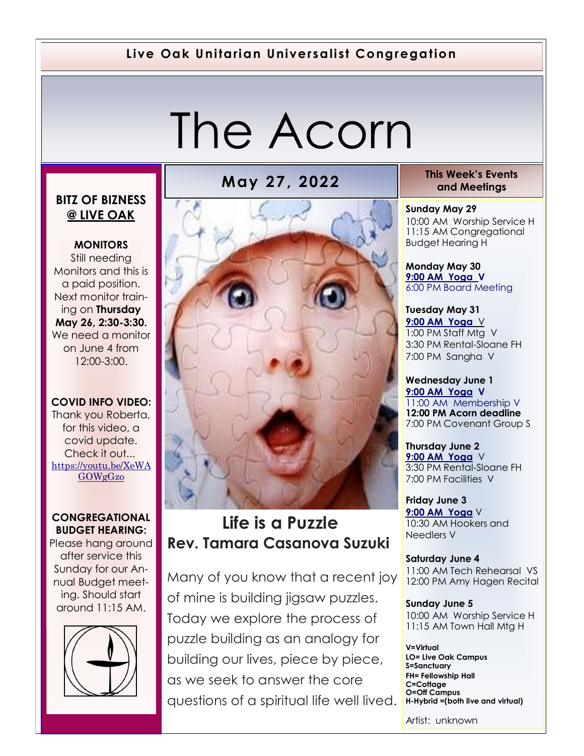#### **Live Oak Unitarian Universalist Congregation**

# The Acorn

#### **BITZ OF BIZNESS @ LIVE OAK**

**MONITORS** Still needing Monitors and this is a paid position. Next monitor training on **Thursday May 26, 2:30-3:30.**  We need a monitor on June 4 from

#### **COVID INFO VIDEO:**

12:00-3:00.

Thank you Roberta, for this video, a covid update. Check it out... [https://youtu.be/XeWA](https://youtu.be/XeWAGOWgGzo) [GOWgGzo](https://youtu.be/XeWAGOWgGzo)

#### **CONGREGATIONAL BUDGET HEARING:**

Please hang around after service this Sunday for our Annual Budget meeting. Should start around 11:15 AM.





## **Life is a Puzzle Rev. Tamara Casanova Suzuki**

Many of you know that a recent joy of mine is building jigsaw puzzles. Today we explore the process of puzzle building as an analogy for building our lives, piece by piece, as we seek to answer the core questions of a spiritual life well lived.

**May 27, 2022 This Week's Events and Meetings** 

> **Sunday May 29** 10:00 AM Worship Service H 11:15 AM Congregational Budget Hearing H

**Monday May 30 [9:00 AM Yoga](https://us02web.zoom.us/j/86278199291?pwd=WUh1MFJyVXNVOTIyQ1NmanJoSmNXQT09) V** 6:00 PM Board Meeting

**Tuesday May 31 [9](https://us02web.zoom.us/meeting/register/tZ0pc-6qrTwqH9WUfmrB_nZu0MWqJ8CyS3Uw)[:00 AM Yoga](https://us02web.zoom.us/j/86278199291?pwd=WUh1MFJyVXNVOTIyQ1NmanJoSmNXQT09)** V 1:00 PM Staff Mtg V 3:30 PM Rental-Sloane FH 7:00 PM Sangha V

**Wednesday June 1 [9](https://us02web.zoom.us/meeting/register/tZ0pc-6qrTwqH9WUfmrB_nZu0MWqJ8CyS3Uw)[:00 AM Yoga](https://us02web.zoom.us/j/86278199291?pwd=WUh1MFJyVXNVOTIyQ1NmanJoSmNXQT09) V** 11:00 AM Membership V **12:00 PM Acorn deadline** 7:00 PM Covenant Group S

**Thursday June 2 [9](https://us02web.zoom.us/meeting/register/tZ0pc-6qrTwqH9WUfmrB_nZu0MWqJ8CyS3Uw)[:00 AM Yoga](https://us02web.zoom.us/j/86278199291?pwd=WUh1MFJyVXNVOTIyQ1NmanJoSmNXQT09)** V 3:30 PM Rental-Sloane FH 7:00 PM Facilities V

**Friday June 3 [9](https://us02web.zoom.us/meeting/register/tZ0pc-6qrTwqH9WUfmrB_nZu0MWqJ8CyS3Uw)[:00 AM Yoga](https://us02web.zoom.us/j/86278199291?pwd=WUh1MFJyVXNVOTIyQ1NmanJoSmNXQT09)** V 10:30 AM Hookers and Needlers V

**Saturday June 4** 11:00 AM Tech Rehearsal VS 12:00 PM Amy Hagen Recital

**Sunday June 5** 10:00 AM Worship Service H 11:15 AM Town Hall Mtg H

**V=Virtual LO= Live Oak Campus S=Sanctuary FH= Fellowship Hall C=Cottage O=Off Campus H-Hybrid =(both live and virtual)**

Artist: unknown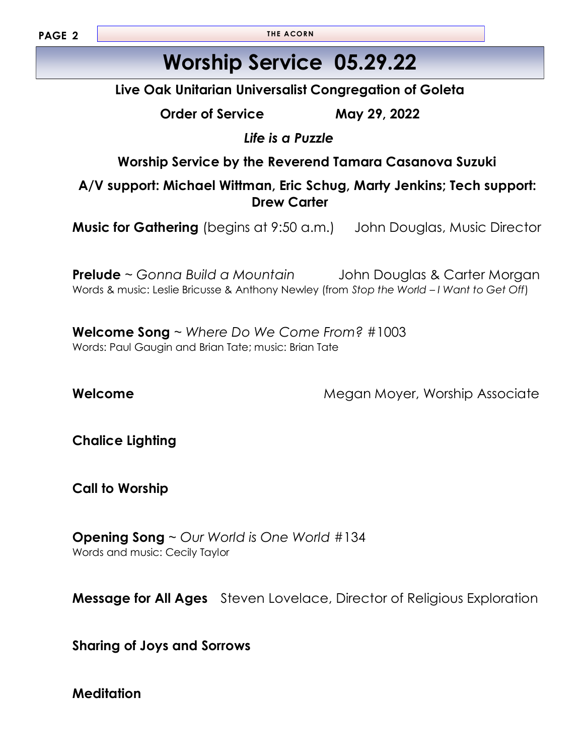**PAGE 2**

**THE ACORN**

# **Worship Service 05.29.22**

**Live Oak Unitarian Universalist Congregation of Goleta**

**Order of Service May 29, 2022**

*Life is a Puzzle*

**Worship Service by the Reverend Tamara Casanova Suzuki** 

**A/V support: Michael Wittman, Eric Schug, Marty Jenkins; Tech support: Drew Carter**

**Music for Gathering** (begins at 9:50 a.m.) John Douglas, Music Director

**Prelude** ~ *Gonna Build a Mountain* John Douglas & Carter Morgan Words & music: Leslie Bricusse & Anthony Newley (from *Stop the World – I Want to Get Off*)

**Welcome Song** ~ *Where Do We Come From?* #1003 Words: Paul Gaugin and Brian Tate; music: Brian Tate

**Welcome Megan Moyer, Worship Associate Megan Moyer**, Worship Associate

**Chalice Lighting**

**Call to Worship**

**Opening Song** ~ *Our World is One World* #134 Words and music: Cecily Taylor

**Message for All Ages** Steven Lovelace, Director of Religious Exploration

**Sharing of Joys and Sorrows** 

**Meditation**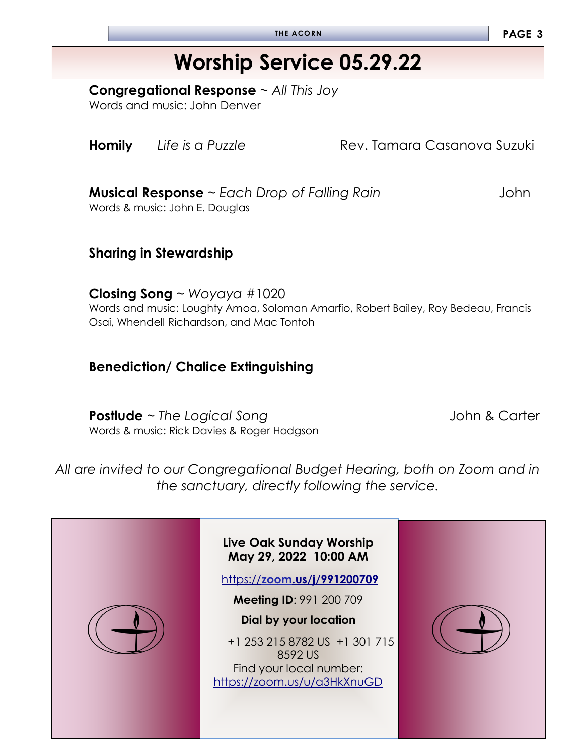**THE ACORN PAGE 3**

# **Worship Service 05.29.22**

**Congregational Response** ~ *All This Joy*

Words and music: John Denver

**Homily** Life is a Puzzle **Rev. Tamara Casanova Suzuki** 

**Musical Response** ~ *Each Drop of Falling Rain John* Words & music: John E. Douglas

**Sharing in Stewardship** 

**Closing Song** ~ *Woyaya* #1020 Words and music: Loughty Amoa, Soloman Amarfio, Robert Bailey, Roy Bedeau, Francis Osai, Whendell Richardson, and Mac Tontoh

#### **Benediction/ Chalice Extinguishing**

**Postlude** ~ *The Logical Song* John & Carter Words & music: Rick Davies & Roger Hodgson

*All are invited to our Congregational Budget Hearing, both on Zoom and in the sanctuary, directly following the service.*

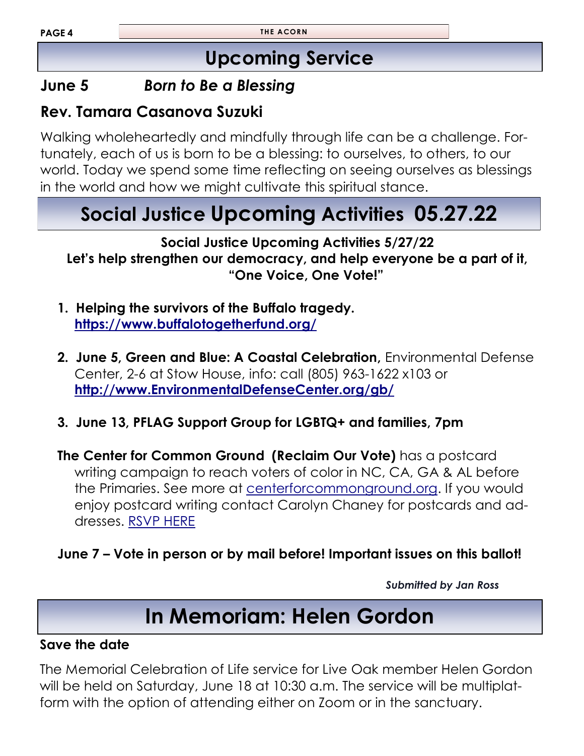# **Upcoming Service**

### **June 5** *Born to Be a Blessing*

### **Rev. Tamara Casanova Suzuki**

Walking wholeheartedly and mindfully through life can be a challenge. Fortunately, each of us is born to be a blessing: to ourselves, to others, to our world. Today we spend some time reflecting on seeing ourselves as blessings in the world and how we might cultivate this spiritual stance.

# **Social Justice Upcoming Activities 05.27.22**

**Social Justice Upcoming Activities 5/27/22 Let's help strengthen our democracy, and help everyone be a part of it, "One Voice, One Vote!"** 

- **1. Helping the survivors of the Buffalo tragedy. <https://www.buffalotogetherfund.org/>**
- **2. June 5, Green and Blue: A Coastal Celebration,** Environmental Defense Center, 2-6 at Stow House, info: call (805) 963-1622 x103 or **<http://www.EnvironmentalDefenseCenter.org/gb/>**
- **3. June 13, PFLAG Support Group for LGBTQ+ and families, 7pm**

**The Center for Common Ground (Reclaim Our Vote)** has a postcard writing campaign to reach voters of color in NC, CA, GA & AL before the Primaries. See more at [centerforcommonground.org.](centerforcommonground.org) If you would enjoy postcard writing contact Carolyn Chaney for postcards and addresses. [RSVP HERE](mailto:cchaney@sfsu.edu)

**June 7 – Vote in person or by mail before! Important issues on this ballot!** 

*Submitted by Jan Ross*

# **In Memoriam: Helen Gordon**

#### **Save the date**

The Memorial Celebration of Life service for Live Oak member Helen Gordon will be held on Saturday, June 18 at 10:30 a.m. The service will be multiplatform with the option of attending either on Zoom or in the sanctuary.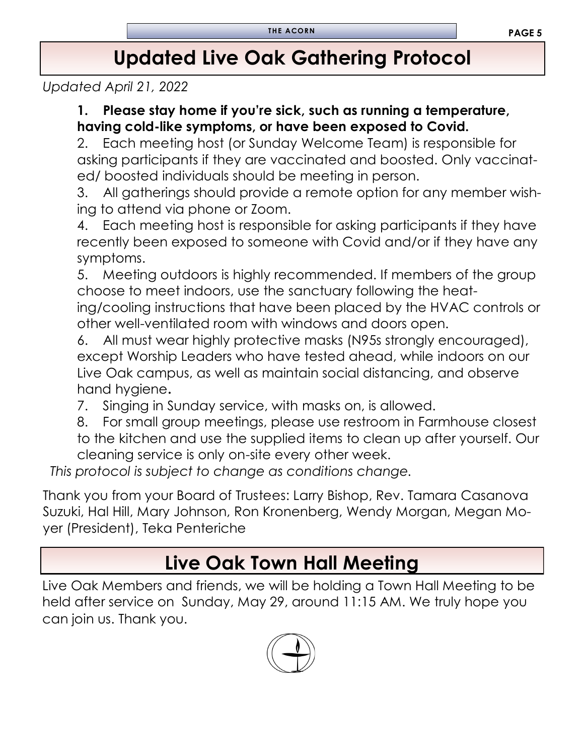# **Updated Live Oak Gathering Protocol**

*Updated April 21, 2022*

#### **1. Please stay home if you're sick, such as running a temperature, having cold-like symptoms, or have been exposed to Covid.**

2. Each meeting host (or Sunday Welcome Team) is responsible for asking participants if they are vaccinated and boosted. Only vaccinated/ boosted individuals should be meeting in person.

3. All gatherings should provide a remote option for any member wishing to attend via phone or Zoom.

4. Each meeting host is responsible for asking participants if they have recently been exposed to someone with Covid and/or if they have any symptoms.

5. Meeting outdoors is highly recommended. If members of the group choose to meet indoors, use the sanctuary following the heating/cooling instructions that have been placed by the HVAC controls or other well-ventilated room with windows and doors open.

All must wear highly protective masks (N95s strongly encouraged), except Worship Leaders who have tested ahead, while indoors on our Live Oak campus, as well as maintain social distancing, and observe hand hygiene**.**

7. Singing in Sunday service, with masks on, is allowed.

8. For small group meetings, please use restroom in Farmhouse closest to the kitchen and use the supplied items to clean up after yourself. Our cleaning service is only on-site every other week.

*This protocol is subject to change as conditions change.*

Thank you from your Board of Trustees: Larry Bishop, Rev. Tamara Casanova Suzuki, Hal Hill, Mary Johnson, Ron Kronenberg, Wendy Morgan, Megan Moyer (President), Teka Penteriche

# **Live Oak Town Hall Meeting**

Live Oak Members and friends, we will be holding a Town Hall Meeting to be held after service on Sunday, May 29, around 11:15 AM. We truly hope you can join us. Thank you.

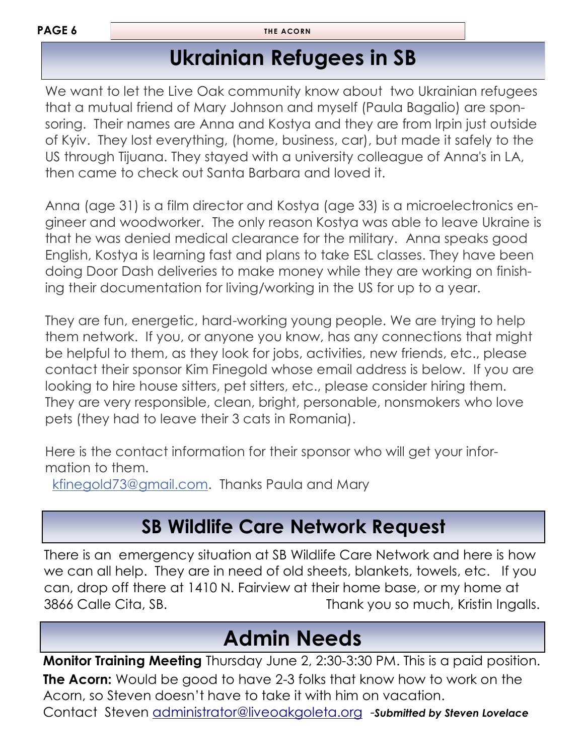**PAGE 6**

**THE ACORN**

# **Ukrainian Refugees in SB**

We want to let the Live Oak community know about two Ukrainian refugees that a mutual friend of Mary Johnson and myself (Paula Bagalio) are sponsoring. Their names are Anna and Kostya and they are from Irpin just outside of Kyiv. They lost everything, (home, business, car), but made it safely to the US through Tijuana. They stayed with a university colleague of Anna's in LA, then came to check out Santa Barbara and loved it.

Anna (age 31) is a film director and Kostya (age 33) is a microelectronics engineer and woodworker. The only reason Kostya was able to leave Ukraine is that he was denied medical clearance for the military. Anna speaks good English, Kostya is learning fast and plans to take ESL classes. They have been doing Door Dash deliveries to make money while they are working on finishing their documentation for living/working in the US for up to a year.

They are fun, energetic, hard-working young people. We are trying to help them network. If you, or anyone you know, has any connections that might be helpful to them, as they look for jobs, activities, new friends, etc., please contact their sponsor Kim Finegold whose email address is below. If you are looking to hire house sitters, pet sitters, etc., please consider hiring them. They are very responsible, clean, bright, personable, nonsmokers who love pets (they had to leave their 3 cats in Romania).

Here is the contact information for their sponsor who will get your information to them.

[kfinegold73@gmail.com.](mailto:kfinegold73@gmail.com) Thanks Paula and Mary

# **SB Wildlife Care Network Request**

There is an emergency situation at SB Wildlife Care Network and here is how we can all help. They are in need of old sheets, blankets, towels, etc. If you can, drop off there at 1410 N. Fairview at their home base, or my home at 3866 Calle Cita, SB. Thank you so much, Kristin Ingalls.

# **Admin Needs**

**Monitor Training Meeting** Thursday June 2, 2:30-3:30 PM. This is a paid position. **The Acorn:** Would be good to have 2-3 folks that know how to work on the Acorn, so Steven doesn't have to take it with him on vacation. Contact Steven [administrator@liveoakgoleta.org](mailto:administrator@liveoakgoleta.org) -*Submitted by Steven Lovelace*